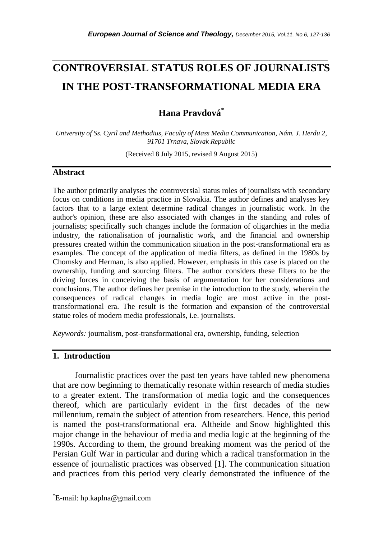# **CONTROVERSIAL STATUS ROLES OF JOURNALISTS IN THE POST-TRANSFORMATIONAL MEDIA ERA**

*\_\_\_\_\_\_\_\_\_\_\_\_\_\_\_\_\_\_\_\_\_\_\_\_\_\_\_\_\_\_\_\_\_\_\_\_\_\_\_\_\_\_\_\_\_\_\_\_\_\_\_\_\_\_\_\_\_\_\_\_\_\_\_\_\_\_\_\_\_\_\_*

**Hana Pravdová**\*

*University of Ss. Cyril and Methodius, Faculty of Mass Media Communication, Nám. J. Herdu 2, 91701 Trnava, Slovak Republic*

(Received 8 July 2015, revised 9 August 2015)

## **Abstract**

The author primarily analyses the controversial status roles of journalists with secondary focus on conditions in media practice in Slovakia. The author defines and analyses key factors that to a large extent determine radical changes in journalistic work. In the author's opinion, these are also associated with changes in the standing and roles of journalists; specifically such changes include the formation of oligarchies in the media industry, the rationalisation of journalistic work, and the financial and ownership pressures created within the communication situation in the post-transformational era as examples. The concept of the application of media filters, as defined in the 1980s by Chomsky and Herman, is also applied. However, emphasis in this case is placed on the ownership, funding and sourcing filters. The author considers these filters to be the driving forces in conceiving the basis of argumentation for her considerations and conclusions. The author defines her premise in the introduction to the study, wherein the consequences of radical changes in media logic are most active in the posttransformational era. The result is the formation and expansion of the controversial statue roles of modern media professionals, i.e. journalists.

*Keywords:* journalism, post-transformational era, ownership, funding, selection

## **1. Introduction**

Journalistic practices over the past ten years have tabled new phenomena that are now beginning to thematically resonate within research of media studies to a greater extent. The transformation of media logic and the consequences thereof, which are particularly evident in the first decades of the new millennium, remain the subject of attention from researchers. Hence, this period is named the post-transformational era. Altheide and Snow highlighted this major change in the behaviour of media and media logic at the beginning of the 1990s. According to them, the ground breaking moment was the period of the Persian Gulf War in particular and during which a radical transformation in the essence of journalistic practices was observed [1]. The communication situation and practices from this period very clearly demonstrated the influence of the

l

<sup>\*</sup>E-mail: [hp.kaplna@gmail.com](mailto:hp.kaplna@gmail.com)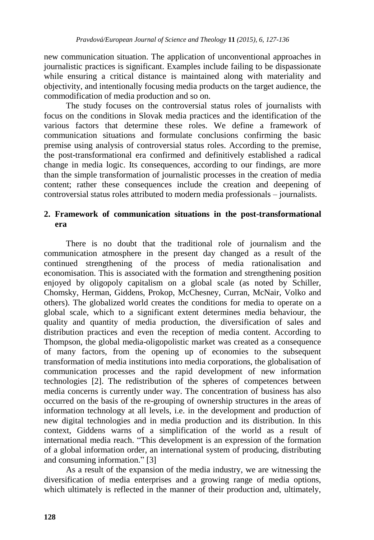new communication situation. The application of unconventional approaches in journalistic practices is significant. Examples include failing to be dispassionate while ensuring a critical distance is maintained along with materiality and objectivity, and intentionally focusing media products on the target audience, the commodification of media production and so on.

The study focuses on the controversial status roles of journalists with focus on the conditions in Slovak media practices and the identification of the various factors that determine these roles. We define a framework of communication situations and formulate conclusions confirming the basic premise using analysis of controversial status roles. According to the premise, the post-transformational era confirmed and definitively established a radical change in media logic. Its consequences, according to our findings, are more than the simple transformation of journalistic processes in the creation of media content; rather these consequences include the creation and deepening of controversial status roles attributed to modern media professionals – journalists.

## **2. Framework of communication situations in the post-transformational era**

There is no doubt that the traditional role of journalism and the communication atmosphere in the present day changed as a result of the continued strengthening of the process of media rationalisation and economisation. This is associated with the formation and strengthening position enjoyed by oligopoly capitalism on a global scale (as noted by Schiller, Chomsky, Herman, Giddens, Prokop, McChesney, Curran, McNair, Volko and others). The globalized world creates the conditions for media to operate on a global scale, which to a significant extent determines media behaviour, the quality and quantity of media production, the diversification of sales and distribution practices and even the reception of media content. According to Thompson, the global media-oligopolistic market was created as a consequence of many factors, from the opening up of economies to the subsequent transformation of media institutions into media corporations, the globalisation of communication processes and the rapid development of new information technologies [2]. The redistribution of the spheres of competences between media concerns is currently under way. The concentration of business has also occurred on the basis of the re-grouping of ownership structures in the areas of information technology at all levels, i.e. in the development and production of new digital technologies and in media production and its distribution. In this context, Giddens warns of a simplification of the world as a result of international media reach. "This development is an expression of the formation of a global information order, an international system of producing, distributing and consuming information." [3]

As a result of the expansion of the media industry, we are witnessing the diversification of media enterprises and a growing range of media options, which ultimately is reflected in the manner of their production and, ultimately,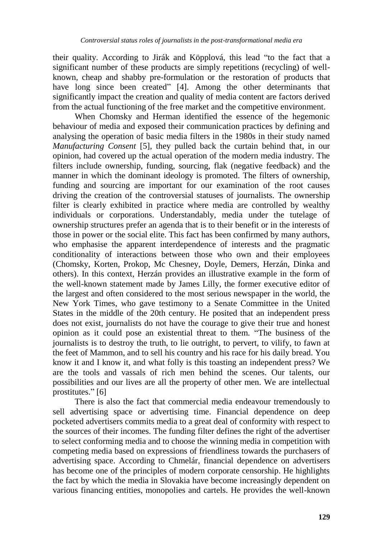their quality. According to Jirák and Köpplová, this lead "to the fact that a significant number of these products are simply repetitions (recycling) of wellknown, cheap and shabby pre-formulation or the restoration of products that have long since been created" [4]. Among the other determinants that significantly impact the creation and quality of media content are factors derived from the actual functioning of the free market and the competitive environment.

When Chomsky and Herman identified the essence of the hegemonic behaviour of media and exposed their communication practices by defining and analysing the operation of basic media filters in the 1980s in their study named *Manufacturing Consent* [5], they pulled back the curtain behind that, in our opinion, had covered up the actual operation of the modern media industry. The filters include ownership, funding, sourcing, flak (negative feedback) and the manner in which the dominant ideology is promoted. The filters of ownership, funding and sourcing are important for our examination of the root causes driving the creation of the controversial statuses of journalists. The ownership filter is clearly exhibited in practice where media are controlled by wealthy individuals or corporations. Understandably, media under the tutelage of ownership structures prefer an agenda that is to their benefit or in the interests of those in power or the social elite. This fact has been confirmed by many authors, who emphasise the apparent interdependence of interests and the pragmatic conditionality of interactions between those who own and their employees (Chomsky, Korten, Prokop, Mc Chesney, Doyle, Demers, Herzán, Dinka and others). In this context, Herzán provides an illustrative example in the form of the well-known statement made by James Lilly, the former executive editor of the largest and often considered to the most serious newspaper in the world, the New York Times, who gave testimony to a Senate Committee in the United States in the middle of the 20th century. He posited that an independent press does not exist, journalists do not have the courage to give their true and honest opinion as it could pose an existential threat to them. "The business of the journalists is to destroy the truth, to lie outright, to pervert, to vilify, to fawn at the feet of Mammon, and to sell his country and his race for his daily bread. You know it and I know it, and what folly is this toasting an independent press? We are the tools and vassals of rich men behind the scenes. Our talents, our possibilities and our lives are all the property of other men. We are intellectual prostitutes." [6]

There is also the fact that commercial media endeavour tremendously to sell advertising space or advertising time. Financial dependence on deep pocketed advertisers commits media to a great deal of conformity with respect to the sources of their incomes. The funding filter defines the right of the advertiser to select conforming media and to choose the winning media in competition with competing media based on expressions of friendliness towards the purchasers of advertising space. According to Chmelár, financial dependence on advertisers has become one of the principles of modern corporate censorship. He highlights the fact by which the media in Slovakia have become increasingly dependent on various financing entities, monopolies and cartels. He provides the well-known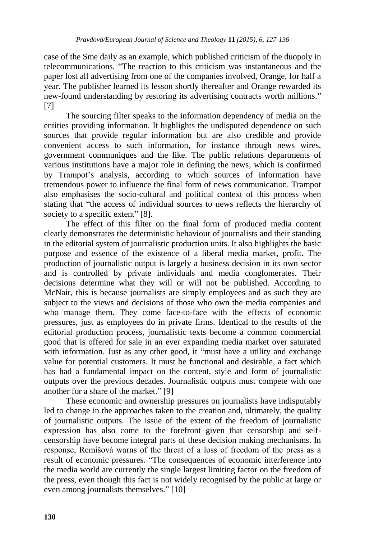case of the Sme daily as an example, which published criticism of the duopoly in telecommunications. "The reaction to this criticism was instantaneous and the paper lost all advertising from one of the companies involved, Orange, for half a year. The publisher learned its lesson shortly thereafter and Orange rewarded its new-found understanding by restoring its advertising contracts worth millions." [7]

The sourcing filter speaks to the information dependency of media on the entities providing information. It highlights the undisputed dependence on such sources that provide regular information but are also credible and provide convenient access to such information, for instance through news wires, government communiques and the like. The public relations departments of various institutions have a major role in defining the news, which is confirmed by Trampot's analysis, according to which sources of information have tremendous power to influence the final form of news communication. Trampot also emphasises the socio-cultural and political context of this process when stating that "the access of individual sources to news reflects the hierarchy of society to a specific extent" [8].

The effect of this filter on the final form of produced media content clearly demonstrates the deterministic behaviour of journalists and their standing in the editorial system of journalistic production units. It also highlights the basic purpose and essence of the existence of a liberal media market, profit. The production of journalistic output is largely a business decision in its own sector and is controlled by private individuals and media conglomerates. Their decisions determine what they will or will not be published. According to McNair, this is because journalists are simply employees and as such they are subject to the views and decisions of those who own the media companies and who manage them. They come face-to-face with the effects of economic pressures, just as employees do in private firms. Identical to the results of the editorial production process, journalistic texts become a common commercial good that is offered for sale in an ever expanding media market over saturated with information. Just as any other good, it "must have a utility and exchange value for potential customers. It must be functional and desirable, a fact which has had a fundamental impact on the content, style and form of journalistic outputs over the previous decades. Journalistic outputs must compete with one another for a share of the market." [9]

These economic and ownership pressures on journalists have indisputably led to change in the approaches taken to the creation and, ultimately, the quality of journalistic outputs. The issue of the extent of the freedom of journalistic expression has also come to the forefront given that censorship and selfcensorship have become integral parts of these decision making mechanisms. In response, Remišová warns of the threat of a loss of freedom of the press as a result of economic pressures. "The consequences of economic interference into the media world are currently the single largest limiting factor on the freedom of the press, even though this fact is not widely recognised by the public at large or even among journalists themselves." [10]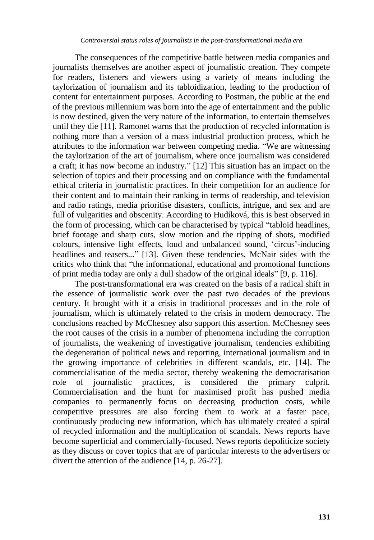#### *Controversial status roles of journalists in the post-transformational media era*

The consequences of the competitive battle between media companies and journalists themselves are another aspect of journalistic creation. They compete for readers, listeners and viewers using a variety of means including the taylorization of journalism and its tabloidization, leading to the production of content for entertainment purposes. According to Postman, the public at the end of the previous millennium was born into the age of entertainment and the public is now destined, given the very nature of the information, to entertain themselves until they die [11]. Ramonet warns that the production of recycled information is nothing more than a version of a mass industrial production process, which he attributes to the information war between competing media. "We are witnessing the taylorization of the art of journalism, where once journalism was considered a craft; it has now become an industry." [12] This situation has an impact on the selection of topics and their processing and on compliance with the fundamental ethical criteria in journalistic practices. In their competition for an audience for their content and to maintain their ranking in terms of readership, and television and radio ratings, media prioritise disasters, conflicts, intrigue, and sex and are full of vulgarities and obscenity. According to Hudíková, this is best observed in the form of processing, which can be characterised by typical "tabloid headlines, brief footage and sharp cuts, slow motion and the ripping of shots, modified colours, intensive light effects, loud and unbalanced sound, 'circus'-inducing headlines and teasers..." [13]. Given these tendencies, McNair sides with the critics who think that "the informational, educational and promotional functions of print media today are only a dull shadow of the original ideals" [9, p. 116].

The post-transformational era was created on the basis of a radical shift in the essence of journalistic work over the past two decades of the previous century. It brought with it a crisis in traditional processes and in the role of journalism, which is ultimately related to the crisis in modern democracy. The conclusions reached by McChesney also support this assertion. McChesney sees the root causes of the crisis in a number of phenomena including the corruption of journalists, the weakening of investigative journalism, tendencies exhibiting the degeneration of political news and reporting, international journalism and in the growing importance of celebrities in different scandals, etc. [14]. The commercialisation of the media sector, thereby weakening the democratisation role of journalistic practices, is considered the primary culprit. Commercialisation and the hunt for maximised profit has pushed media companies to permanently focus on decreasing production costs, while competitive pressures are also forcing them to work at a faster pace, continuously producing new information, which has ultimately created a spiral of recycled information and the multiplication of scandals. News reports have become superficial and commercially-focused. News reports depoliticize society as they discuss or cover topics that are of particular interests to the advertisers or divert the attention of the audience [14, p. 26-27].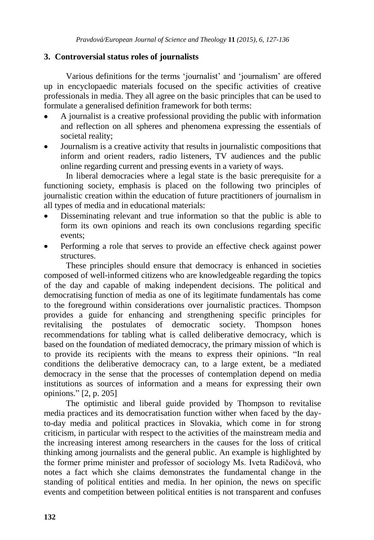## **3. Controversial status roles of journalists**

Various definitions for the terms "journalist" and "journalism" are offered up in encyclopaedic materials focused on the specific activities of creative professionals in media. They all agree on the basic principles that can be used to formulate a generalised definition framework for both terms:

- A journalist is a creative professional providing the public with information and reflection on all spheres and phenomena expressing the essentials of societal reality;
- Journalism is a creative activity that results in journalistic compositions that inform and orient readers, radio listeners, TV audiences and the public online regarding current and pressing events in a variety of ways.

In liberal democracies where a legal state is the basic prerequisite for a functioning society, emphasis is placed on the following two principles of journalistic creation within the education of future practitioners of journalism in all types of media and in educational materials:

- Disseminating relevant and true information so that the public is able to form its own opinions and reach its own conclusions regarding specific events;
- Performing a role that serves to provide an effective check against power structures.

These principles should ensure that democracy is enhanced in societies composed of well-informed citizens who are knowledgeable regarding the topics of the day and capable of making independent decisions. The political and democratising function of media as one of its legitimate fundamentals has come to the foreground within considerations over journalistic practices. Thompson provides a guide for enhancing and strengthening specific principles for revitalising the postulates of democratic society. Thompson hones recommendations for tabling what is called deliberative democracy, which is based on the foundation of mediated democracy, the primary mission of which is to provide its recipients with the means to express their opinions. "In real conditions the deliberative democracy can, to a large extent, be a mediated democracy in the sense that the processes of contemplation depend on media institutions as sources of information and a means for expressing their own opinions." [2, p. 205]

The optimistic and liberal guide provided by Thompson to revitalise media practices and its democratisation function wither when faced by the dayto-day media and political practices in Slovakia, which come in for strong criticism, in particular with respect to the activities of the mainstream media and the increasing interest among researchers in the causes for the loss of critical thinking among journalists and the general public. An example is highlighted by the former prime minister and professor of sociology Ms. Iveta Radičová, who notes a fact which she claims demonstrates the fundamental change in the standing of political entities and media. In her opinion, the news on specific events and competition between political entities is not transparent and confuses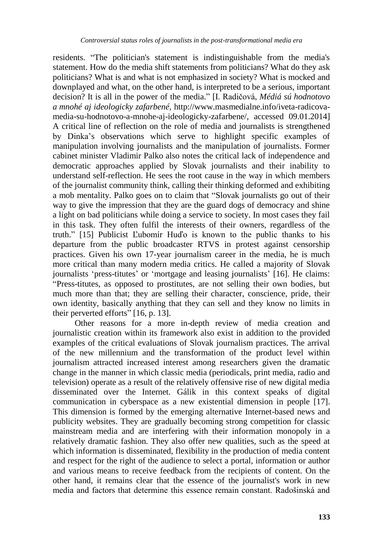residents. "The politician's statement is indistinguishable from the media's statement. How do the media shift statements from politicians? What do they ask politicians? What is and what is not emphasized in society? What is mocked and downplayed and what, on the other hand, is interpreted to be a serious, important decision? It is all in the power of the media." [I. Radičová, *Médiá sú hodnotovo a mnohé aj ideologicky zafarbené,* [http://www.masmedialne.info/iveta-radicova](http://www.masmedialne.info/iveta-radicova-media-su-hodnotovo-a-mnohe-aj-ideologicky-zafarbene/)[media-su-hodnotovo-a-mnohe-aj-ideologicky-zafarbene/,](http://www.masmedialne.info/iveta-radicova-media-su-hodnotovo-a-mnohe-aj-ideologicky-zafarbene/) accessed 09.01.2014] A critical line of reflection on the role of media and journalists is strengthened by Dinka"s observations which serve to highlight specific examples of manipulation involving journalists and the manipulation of journalists. Former cabinet minister Vladimir Palko also notes the critical lack of independence and democratic approaches applied by Slovak journalists and their inability to understand self-reflection. He sees the root cause in the way in which members of the journalist community think, calling their thinking deformed and exhibiting a mob mentality. Palko goes on to claim that "Slovak journalists go out of their way to give the impression that they are the guard dogs of democracy and shine a light on bad politicians while doing a service to society. In most cases they fail in this task. They often fulfil the interests of their owners, regardless of the truth." [15] Publicist Ľubomír Huďo is known to the public thanks to his departure from the public broadcaster RTVS in protest against censorship practices. Given his own 17-year journalism career in the media, he is much more critical than many modern media critics. He called a majority of Slovak journalists 'press-titutes' or 'mortgage and leasing journalists' [16]. He claims: "Press-titutes, as opposed to prostitutes, are not selling their own bodies, but much more than that; they are selling their character, conscience, pride, their own identity, basically anything that they can sell and they know no limits in their perverted efforts" [16, p. 13].

Other reasons for a more in-depth review of media creation and journalistic creation within its framework also exist in addition to the provided examples of the critical evaluations of Slovak journalism practices. The arrival of the new millennium and the transformation of the product level within journalism attracted increased interest among researchers given the dramatic change in the manner in which classic media (periodicals, print media, radio and television) operate as a result of the relatively offensive rise of new digital media disseminated over the Internet. Gálik in this context speaks of digital communication in cyberspace as a new existential dimension in people [17]. This dimension is formed by the emerging alternative Internet-based news and publicity websites. They are gradually becoming strong competition for classic mainstream media and are interfering with their information monopoly in a relatively dramatic fashion. They also offer new qualities, such as the speed at which information is disseminated, flexibility in the production of media content and respect for the right of the audience to select a portal, information or author and various means to receive feedback from the recipients of content. On the other hand, it remains clear that the essence of the journalist's work in new media and factors that determine this essence remain constant. Radošinská and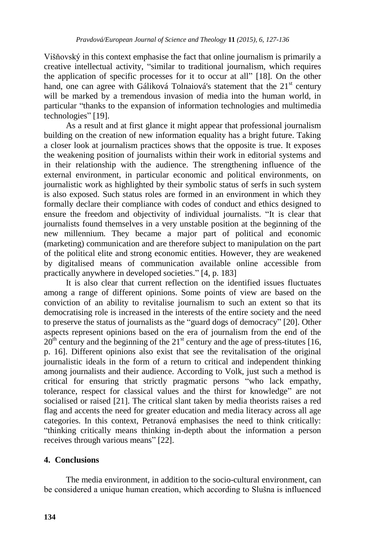Višňovský in this context emphasise the fact that online journalism is primarily a creative intellectual activity, "similar to traditional journalism, which requires the application of specific processes for it to occur at all" [18]. On the other hand, one can agree with Gáliková Tolnaiová's statement that the  $21<sup>st</sup>$  century will be marked by a tremendous invasion of media into the human world, in particular "thanks to the expansion of information technologies and multimedia technologies" [19].

As a result and at first glance it might appear that professional journalism building on the creation of new information equality has a bright future. Taking a closer look at journalism practices shows that the opposite is true. It exposes the weakening position of journalists within their work in editorial systems and in their relationship with the audience. The strengthening influence of the external environment, in particular economic and political environments, on journalistic work as highlighted by their symbolic status of serfs in such system is also exposed. Such status roles are formed in an environment in which they formally declare their compliance with codes of conduct and ethics designed to ensure the freedom and objectivity of individual journalists. "It is clear that journalists found themselves in a very unstable position at the beginning of the new millennium. They became a major part of political and economic (marketing) communication and are therefore subject to manipulation on the part of the political elite and strong economic entities. However, they are weakened by digitalised means of communication available online accessible from practically anywhere in developed societies." [4, p. 183]

It is also clear that current reflection on the identified issues fluctuates among a range of different opinions. Some points of view are based on the conviction of an ability to revitalise journalism to such an extent so that its democratising role is increased in the interests of the entire society and the need to preserve the status of journalists as the "guard dogs of democracy" [20]. Other aspects represent opinions based on the era of journalism from the end of the  $20<sup>th</sup>$  century and the beginning of the  $21<sup>st</sup>$  century and the age of press-titutes [16, p. 16]. Different opinions also exist that see the revitalisation of the original journalistic ideals in the form of a return to critical and independent thinking among journalists and their audience. According to Volk, just such a method is critical for ensuring that strictly pragmatic persons "who lack empathy, tolerance, respect for classical values and the thirst for knowledge" are not socialised or raised [21]. The critical slant taken by media theorists raises a red flag and accents the need for greater education and media literacy across all age categories. In this context, Petranová emphasises the need to think critically: "thinking critically means thinking in-depth about the information a person receives through various means" [22].

## **4. Conclusions**

The media environment, in addition to the socio-cultural environment, can be considered a unique human creation, which according to Slušna is influenced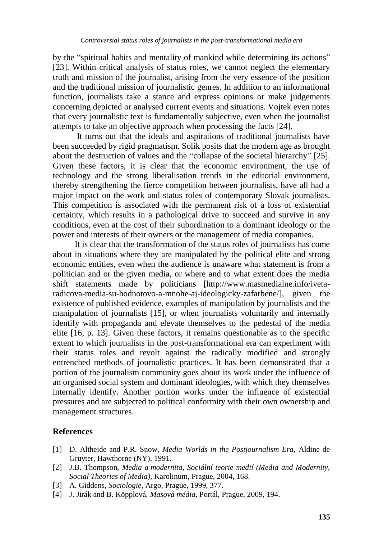by the "spiritual habits and mentality of mankind while determining its actions" [23]. Within critical analysis of status roles, we cannot neglect the elementary truth and mission of the journalist, arising from the very essence of the position and the traditional mission of journalistic genres. In addition to an informational function, journalists take a stance and express opinions or make judgements concerning depicted or analysed current events and situations. Vojtek even notes that every journalistic text is fundamentally subjective, even when the journalist attempts to take an objective approach when processing the facts [24].

It turns out that the ideals and aspirations of traditional journalists have been succeeded by rigid pragmatism. Solík posits that the modern age as brought about the destruction of values and the "collapse of the societal hierarchy" [25]. Given these factors, it is clear that the economic environment, the use of technology and the strong liberalisation trends in the editorial environment, thereby strengthening the fierce competition between journalists, have all had a major impact on the work and status roles of contemporary Slovak journalists. This competition is associated with the permanent risk of a loss of existential certainty, which results in a pathological drive to succeed and survive in any conditions, even at the cost of their subordination to a dominant ideology or the power and interests of their owners or the management of media companies.

It is clear that the transformation of the status roles of journalists has come about in situations where they are manipulated by the political elite and strong economic entities, even when the audience is unaware what statement is from a politician and or the given media, or where and to what extent does the media shift statements made by politicians [\[http://www.masmedialne.info/iveta](http://www.masmedialne.info/iveta-radicova-media-su-hodnotovo-a-mnohe-aj-ideologicky-zafarbene/)[radicova-media-su-hodnotovo-a-mnohe-aj-ideologicky-zafarbene/\]](http://www.masmedialne.info/iveta-radicova-media-su-hodnotovo-a-mnohe-aj-ideologicky-zafarbene/), given the existence of published evidence, examples of manipulation by journalists and the manipulation of journalists [15], or when journalists voluntarily and internally identify with propaganda and elevate themselves to the pedestal of the media elite [16, p. 13]. Given these factors, it remains questionable as to the specific extent to which journalists in the post-transformational era can experiment with their status roles and revolt against the radically modified and strongly entrenched methods of journalistic practices. It has been demonstrated that a portion of the journalism community goes about its work under the influence of an organised social system and dominant ideologies, with which they themselves internally identify. Another portion works under the influence of existential pressures and are subjected to political conformity with their own ownership and management structures.

### **References**

- [1] D. Altheide and P.R. Snow, *Media Worlds in the Postjournalism Era,* Aldine de Gruyter, Hawthorne (NY), 1991.
- [2] J.B. Thompson, *Media a modernita, Sociální teorie medií (Media and Modernity, Social Theories of Media),* Karolinum, Prague, 2004, 168.
- [3] A. Giddens, *Sociologie,* Argo, Prague, 1999, 377.
- [4] J. Jirák and B. Köpplová, *Masová média,* Portál, Prague, 2009, 194.